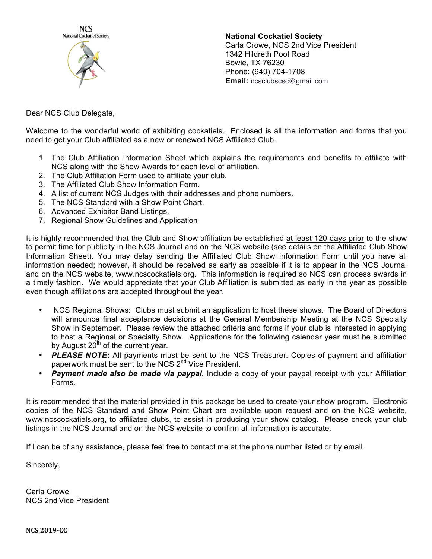

**National Cockatiel Society** Carla Crowe, NCS 2nd Vice President 1342 Hildreth Pool Road Bowie, TX 76230 Phone: (940) 704-1708 **Email:** ncsclubscsc@gmail.com

Dear NCS Club Delegate,

Welcome to the wonderful world of exhibiting cockatiels. Enclosed is all the information and forms that you need to get your Club affiliated as a new or renewed NCS Affiliated Club.

- 1. The Club Affiliation Information Sheet which explains the requirements and benefits to affiliate with NCS along with the Show Awards for each level of affiliation.
- 2. The Club Affiliation Form used to affiliate your club.
- 3. The Affiliated Club Show Information Form.
- 4. A list of current NCS Judges with their addresses and phone numbers.
- 5. The NCS Standard with a Show Point Chart.
- 6. Advanced Exhibitor Band Listings.
- 7. Regional Show Guidelines and Application

It is highly recommended that the Club and Show affiliation be established at least 120 days prior to the show to permit time for publicity in the NCS Journal and on the NCS website (see details on the Affiliated Club Show Information Sheet). You may delay sending the Affiliated Club Show Information Form until you have all information needed; however, it should be received as early as possible if it is to appear in the NCS Journal and on the NCS website, www.ncscockatiels.org. This information is required so NCS can process awards in a timely fashion. We would appreciate that your Club Affiliation is submitted as early in the year as possible even though affiliations are accepted throughout the year.

- NCS Regional Shows: Clubs must submit an application to host these shows. The Board of Directors will announce final acceptance decisions at the General Membership Meeting at the NCS Specialty Show in September. Please review the attached criteria and forms if your club is interested in applying to host a Regional or Specialty Show. Applications for the following calendar year must be submitted by August  $20<sup>th</sup>$  of the current year.
- *PLEASE NOTE***:** All payments must be sent to the NCS Treasurer. Copies of payment and affiliation paperwork must be sent to the NCS 2<sup>nd</sup> Vice President.
- *Payment made also be made via paypal***.** Include a copy of your paypal receipt with your Affiliation Forms.

It is recommended that the material provided in this package be used to create your show program. Electronic copies of the NCS Standard and Show Point Chart are available upon request and on the NCS website, www.ncscockatiels.org, to affiliated clubs, to assist in producing your show catalog. Please check your club listings in the NCS Journal and on the NCS website to confirm all information is accurate.

If I can be of any assistance, please feel free to contact me at the phone number listed or by email.

Sincerely,

Carla Crowe NCS 2nd Vice President